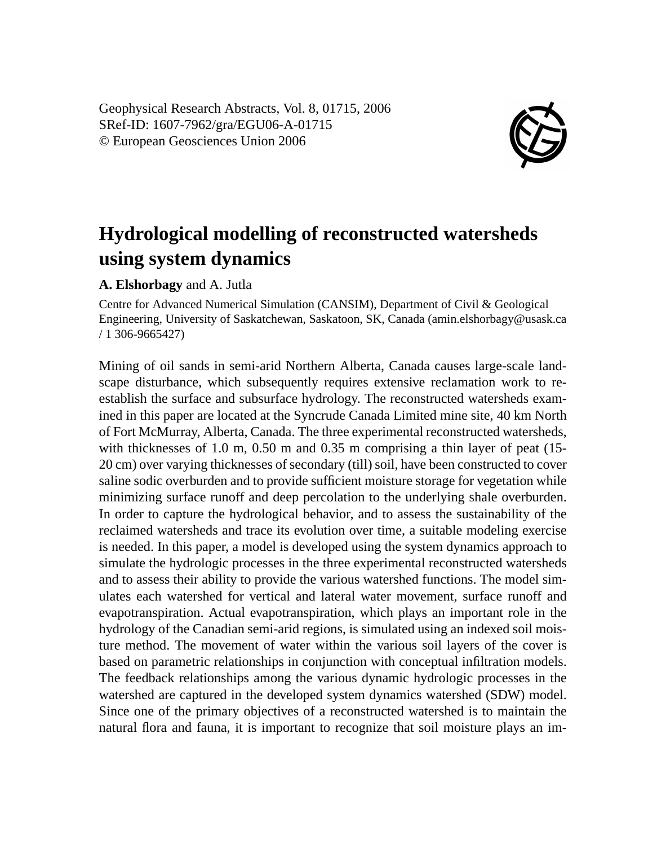Geophysical Research Abstracts, Vol. 8, 01715, 2006 SRef-ID: 1607-7962/gra/EGU06-A-01715 © European Geosciences Union 2006



## **Hydrological modelling of reconstructed watersheds using system dynamics**

## **A. Elshorbagy** and A. Jutla

Centre for Advanced Numerical Simulation (CANSIM), Department of Civil & Geological Engineering, University of Saskatchewan, Saskatoon, SK, Canada (amin.elshorbagy@usask.ca / 1 306-9665427)

Mining of oil sands in semi-arid Northern Alberta, Canada causes large-scale landscape disturbance, which subsequently requires extensive reclamation work to reestablish the surface and subsurface hydrology. The reconstructed watersheds examined in this paper are located at the Syncrude Canada Limited mine site, 40 km North of Fort McMurray, Alberta, Canada. The three experimental reconstructed watersheds, with thicknesses of 1.0 m, 0.50 m and 0.35 m comprising a thin layer of peat  $(15$ -20 cm) over varying thicknesses of secondary (till) soil, have been constructed to cover saline sodic overburden and to provide sufficient moisture storage for vegetation while minimizing surface runoff and deep percolation to the underlying shale overburden. In order to capture the hydrological behavior, and to assess the sustainability of the reclaimed watersheds and trace its evolution over time, a suitable modeling exercise is needed. In this paper, a model is developed using the system dynamics approach to simulate the hydrologic processes in the three experimental reconstructed watersheds and to assess their ability to provide the various watershed functions. The model simulates each watershed for vertical and lateral water movement, surface runoff and evapotranspiration. Actual evapotranspiration, which plays an important role in the hydrology of the Canadian semi-arid regions, is simulated using an indexed soil moisture method. The movement of water within the various soil layers of the cover is based on parametric relationships in conjunction with conceptual infiltration models. The feedback relationships among the various dynamic hydrologic processes in the watershed are captured in the developed system dynamics watershed (SDW) model. Since one of the primary objectives of a reconstructed watershed is to maintain the natural flora and fauna, it is important to recognize that soil moisture plays an im-